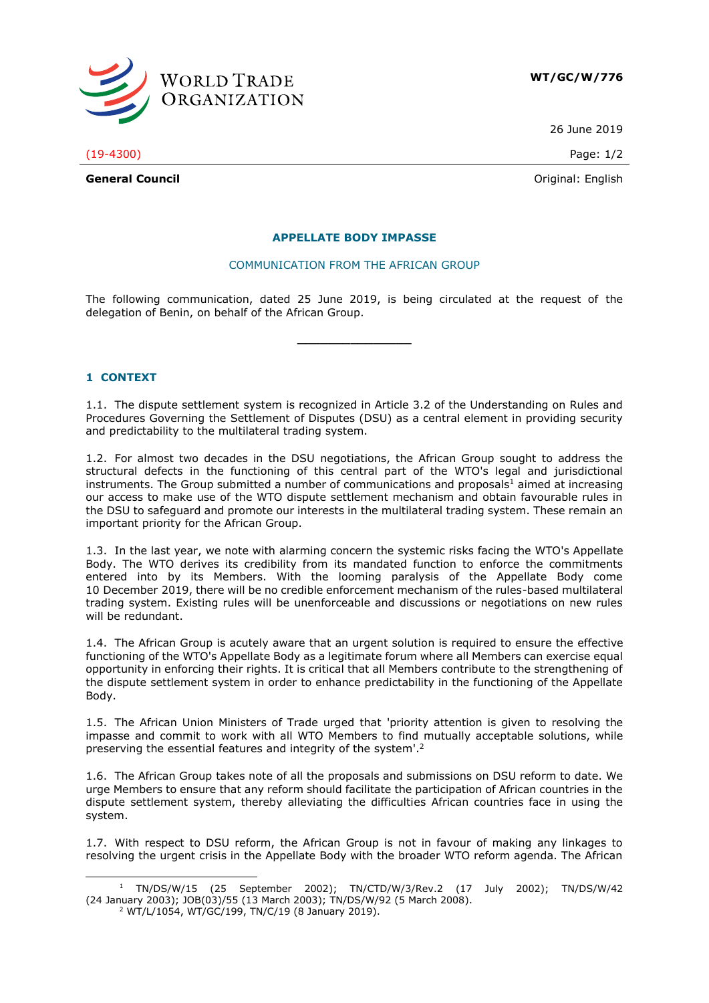

26 June 2019

(19-4300) Page: 1/2

**General Council** Community Council Council Council Council Council Council Council Council Council Council Council Council Council Council Council Council Council Council Council Council Council Council Council Council Co

### **APPELLATE BODY IMPASSE**

#### COMMUNICATION FROM THE AFRICAN GROUP

The following communication, dated 25 June 2019, is being circulated at the request of the delegation of Benin, on behalf of the African Group.

**\_\_\_\_\_\_\_\_\_\_\_\_\_\_\_**

**1 CONTEXT**

-

1.1. The dispute settlement system is recognized in Article 3.2 of the Understanding on Rules and Procedures Governing the Settlement of Disputes (DSU) as a central element in providing security and predictability to the multilateral trading system.

1.2. For almost two decades in the DSU negotiations, the African Group sought to address the structural defects in the functioning of this central part of the WTO's legal and jurisdictional instruments. The Group submitted a number of communications and proposals<sup>1</sup> aimed at increasing our access to make use of the WTO dispute settlement mechanism and obtain favourable rules in the DSU to safeguard and promote our interests in the multilateral trading system. These remain an important priority for the African Group.

1.3. In the last year, we note with alarming concern the systemic risks facing the WTO's Appellate Body. The WTO derives its credibility from its mandated function to enforce the commitments entered into by its Members. With the looming paralysis of the Appellate Body come 10 December 2019, there will be no credible enforcement mechanism of the rules-based multilateral trading system. Existing rules will be unenforceable and discussions or negotiations on new rules will be redundant.

1.4. The African Group is acutely aware that an urgent solution is required to ensure the effective functioning of the WTO's Appellate Body as a legitimate forum where all Members can exercise equal opportunity in enforcing their rights. It is critical that all Members contribute to the strengthening of the dispute settlement system in order to enhance predictability in the functioning of the Appellate Body.

1.5. The African Union Ministers of Trade urged that 'priority attention is given to resolving the impasse and commit to work with all WTO Members to find mutually acceptable solutions, while preserving the essential features and integrity of the system'. 2

1.6. The African Group takes note of all the proposals and submissions on DSU reform to date. We urge Members to ensure that any reform should facilitate the participation of African countries in the dispute settlement system, thereby alleviating the difficulties African countries face in using the system.

1.7. With respect to DSU reform, the African Group is not in favour of making any linkages to resolving the urgent crisis in the Appellate Body with the broader WTO reform agenda. The African

<sup>1</sup> TN/DS/W/15 (25 September 2002); TN/CTD/W/3/Rev.2 (17 July 2002); TN/DS/W/42 (24 January 2003); JOB(03)/55 (13 March 2003); TN/DS/W/92 (5 March 2008).

<sup>2</sup> WT/L/1054, WT/GC/199, TN/C/19 (8 January 2019).